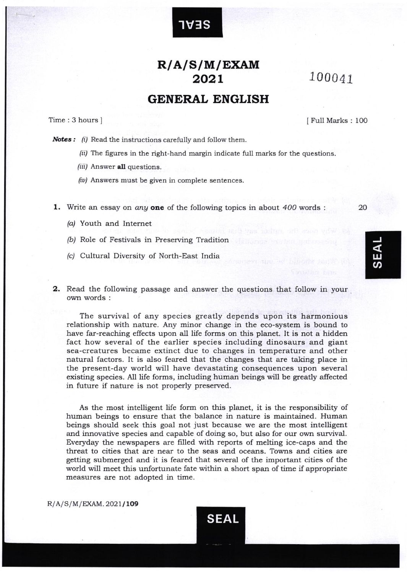## R/A/S/M/EXAM 202L 100041

1V:lS

## GENERAL ENGLISH

Time:3hoursl <sup>I</sup>Full Marks : <sup>100</sup>

Notes : (i) Read the instructions carefully and follow them.

- $\delta$  (ii) The figures in the right-hand margin indicate full marks for the questions.
- (iii) Answer all questions.
- $(iv)$  Answers must be given in complete sentences.

1. Write an essay on *any* one of the following topics in about  $400$  words :

- (a) Youth and Internet
- /bi Role of Festivals in Preserving Tradition
- /c/ Cultural Diversity of North-East India
- **2.** Read the following passage and answer the questions that follow in your own words :

The survival of any species greatly depends upon its harmonious relationship with nature. Any minor change in the eco-system is bound to have far-reaching effects upon all life forms on this planet. It is not a hidden fact how several of the earlier species including dinosaurs and giant sea-creatures became extinct due to changes in temperature and other natural factors. It is also feared that the changes that are taking place in the present-day world will have devastating consequences upon several existing species. All life forms, including human beings will be greafly affected in future if nature is not properly preserved.

As the most intelligent life form on this planet, it is the responsibility of human beings to ensure that the balance in nature is maintained. Human beings should seek this goal not just because we are the most intelligent and innovative species and capable of doing so, but also for our own survival. Everyday the newspapers are filled with reports of melting ice-caps and the threat to cities that are near to the seas and oceans. Towns and cities are getting submerged and it is feared that several of the important cities of the world will meet this unfortunate fate within a short span of time if appropriate measures are not adopted in time.

 $R/A/S/M/EXAM.2021/109$ 



20

w<br>က